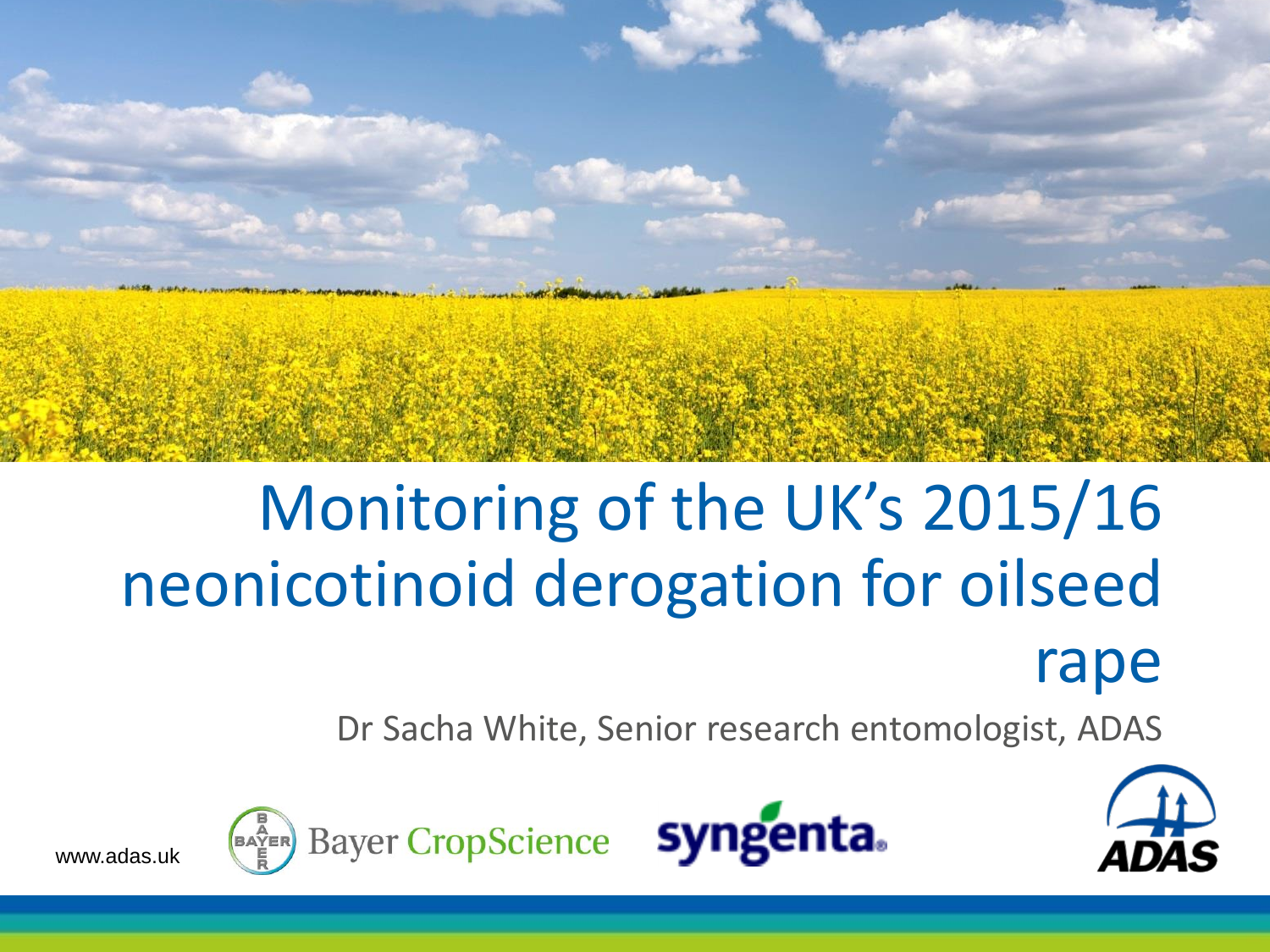

# Monitoring of the UK's 2015/16 neonicotinoid derogation for oilseed rape

Dr Sacha White, Senior research entomologist, ADAS





www.adas.uk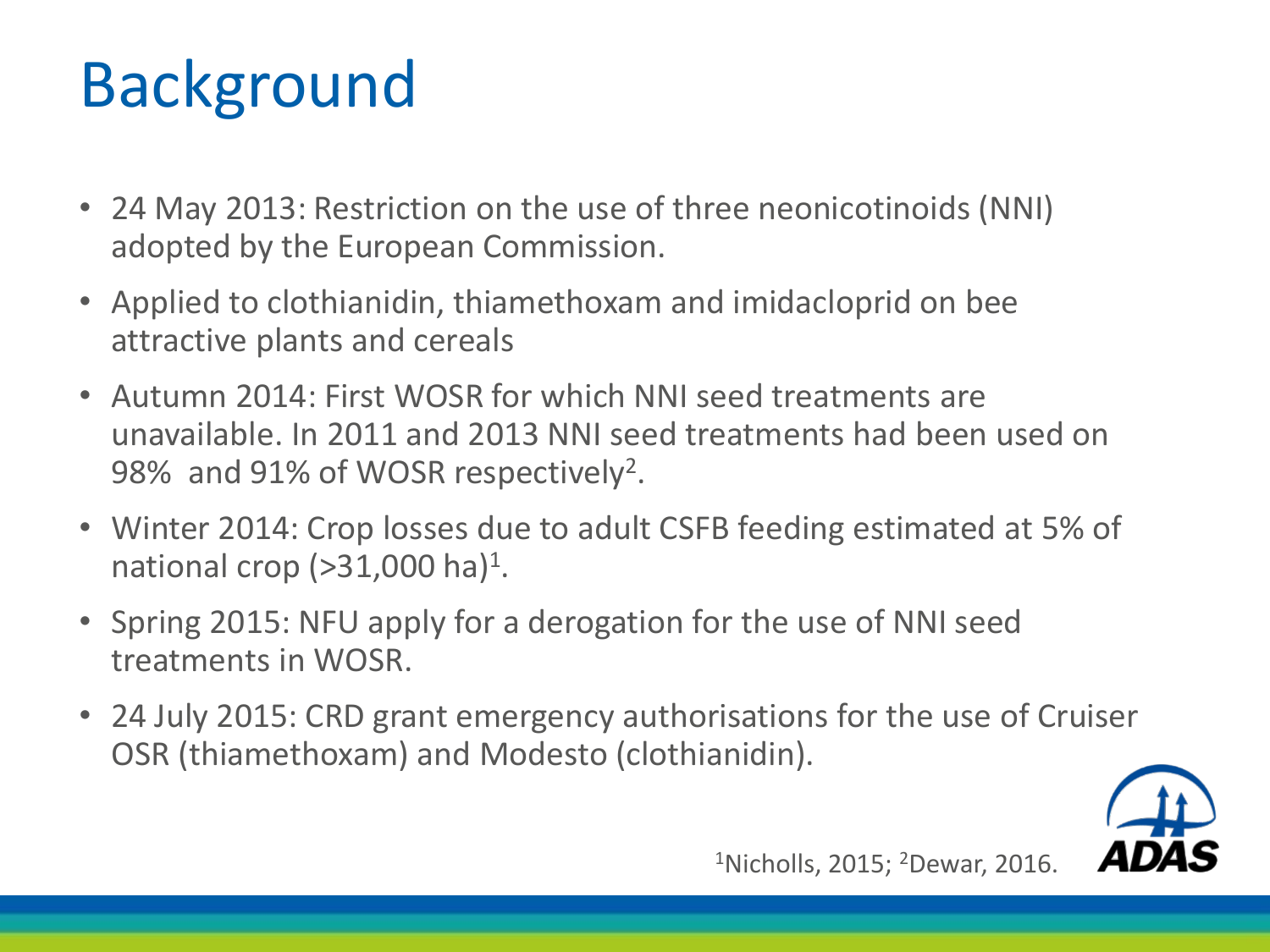# Background

- 24 May 2013: Restriction on the use of three neonicotinoids (NNI) adopted by the European Commission.
- Applied to clothianidin, thiamethoxam and imidacloprid on bee attractive plants and cereals
- Autumn 2014: First WOSR for which NNI seed treatments are unavailable. In 2011 and 2013 NNI seed treatments had been used on 98% and 91% of WOSR respectively<sup>2</sup>.
- Winter 2014: Crop losses due to adult CSFB feeding estimated at 5% of national crop ( $>$ 31,000 ha)<sup>1</sup>.
- Spring 2015: NFU apply for a derogation for the use of NNI seed treatments in WOSR.
- 24 July 2015: CRD grant emergency authorisations for the use of Cruiser OSR (thiamethoxam) and Modesto (clothianidin).



1Nicholls, 2015; 2Dewar, 2016.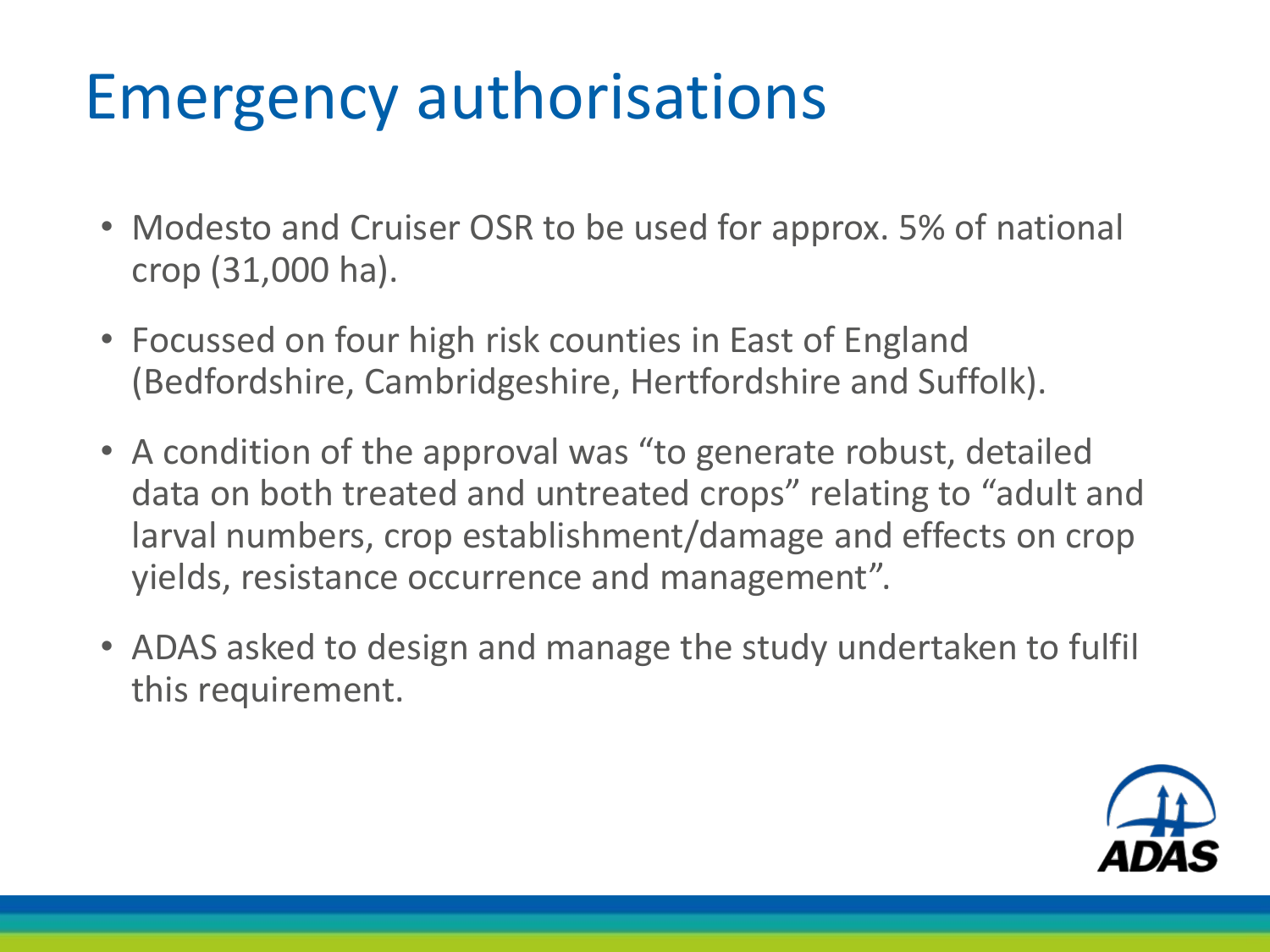# Emergency authorisations

- Modesto and Cruiser OSR to be used for approx. 5% of national crop (31,000 ha).
- Focussed on four high risk counties in East of England (Bedfordshire, Cambridgeshire, Hertfordshire and Suffolk).
- A condition of the approval was "to generate robust, detailed data on both treated and untreated crops" relating to "adult and larval numbers, crop establishment/damage and effects on crop yields, resistance occurrence and management".
- ADAS asked to design and manage the study undertaken to fulfil this requirement.

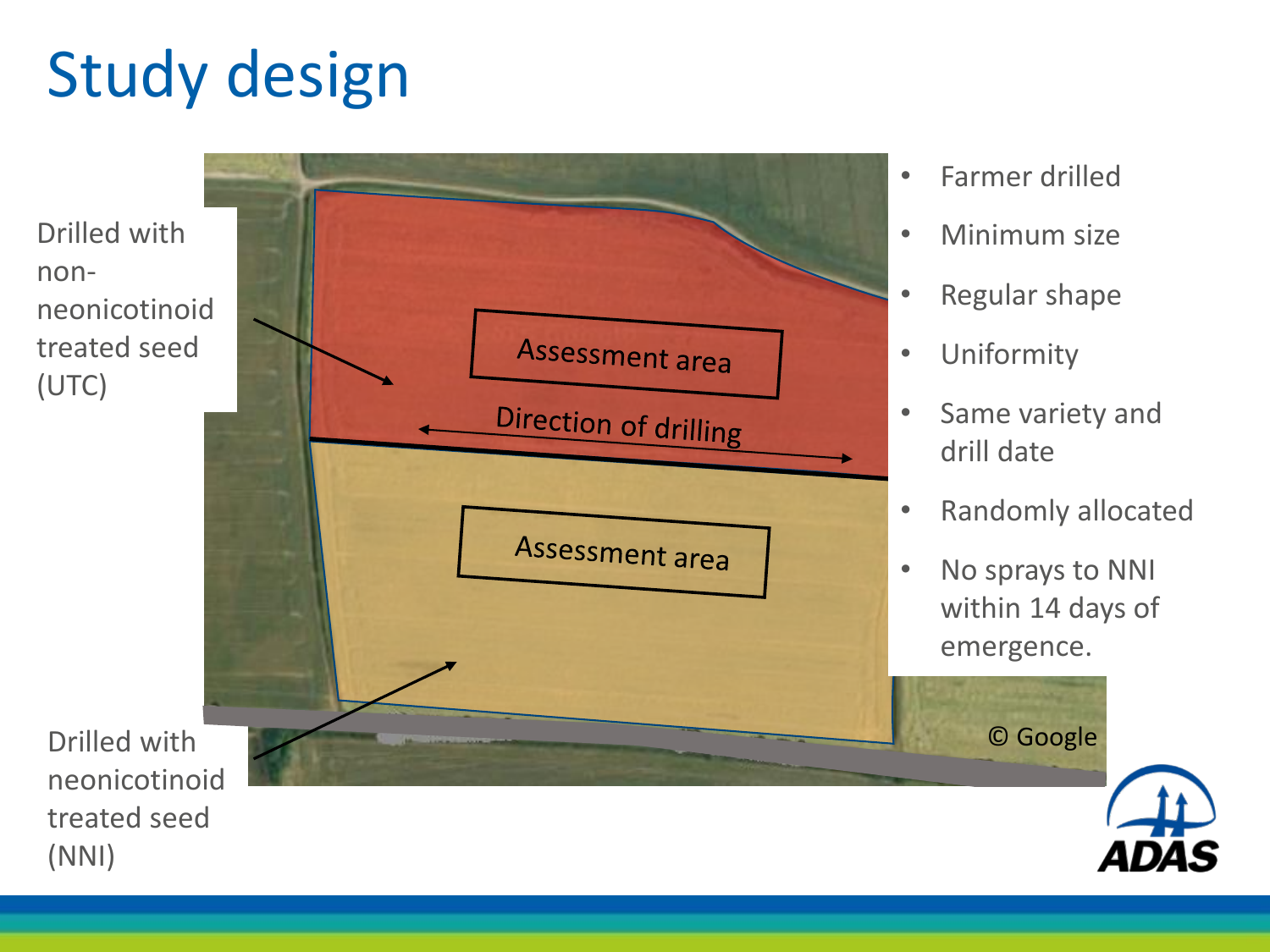# Study design

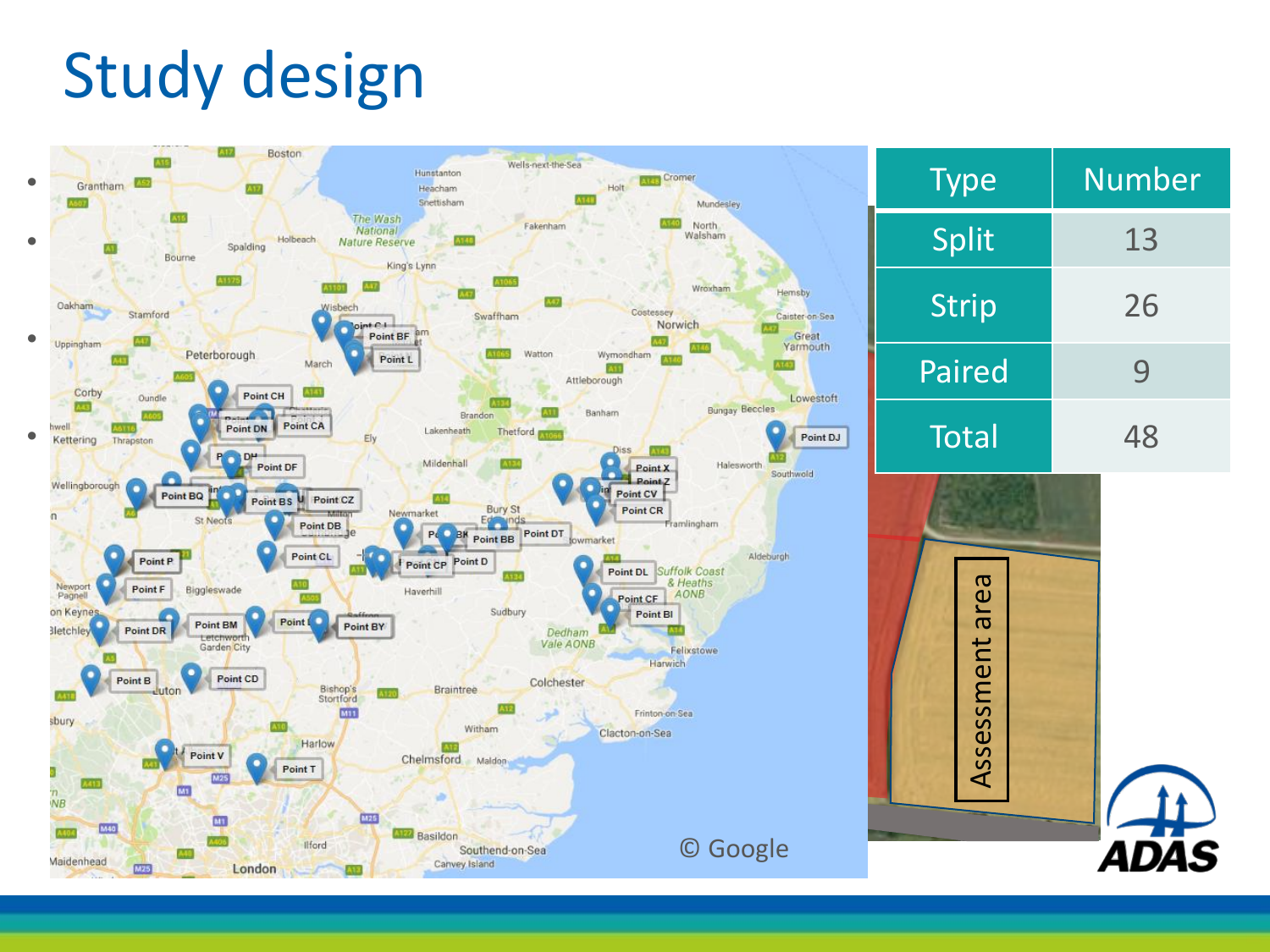# Study design

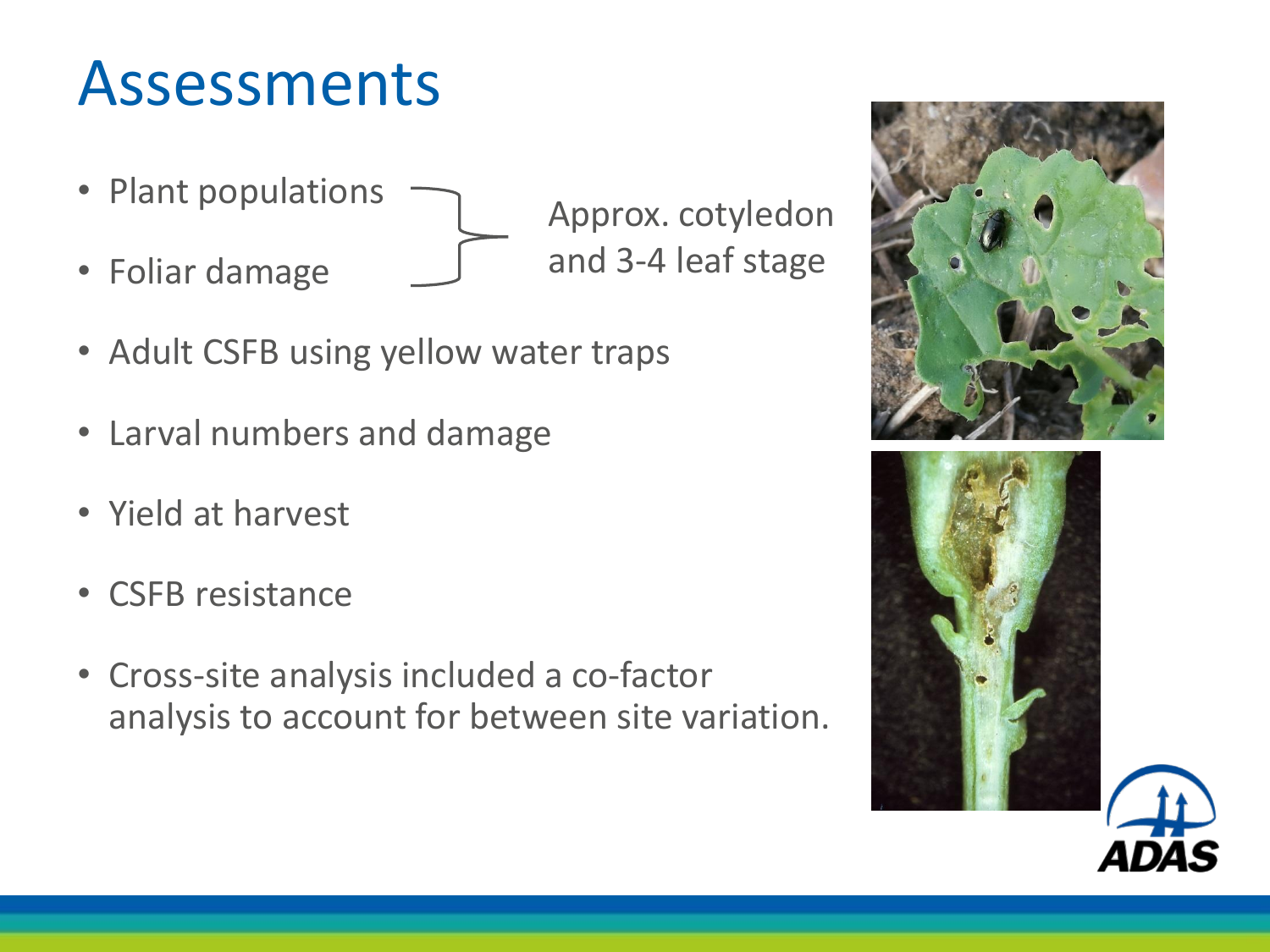## Assessments

- Plant populations
- Foliar damage

Approx. cotyledon and 3-4 leaf stage

- Adult CSFB using yellow water traps
- Larval numbers and damage
- Yield at harvest
- CSFB resistance
- Cross-site analysis included a co-factor analysis to account for between site variation.



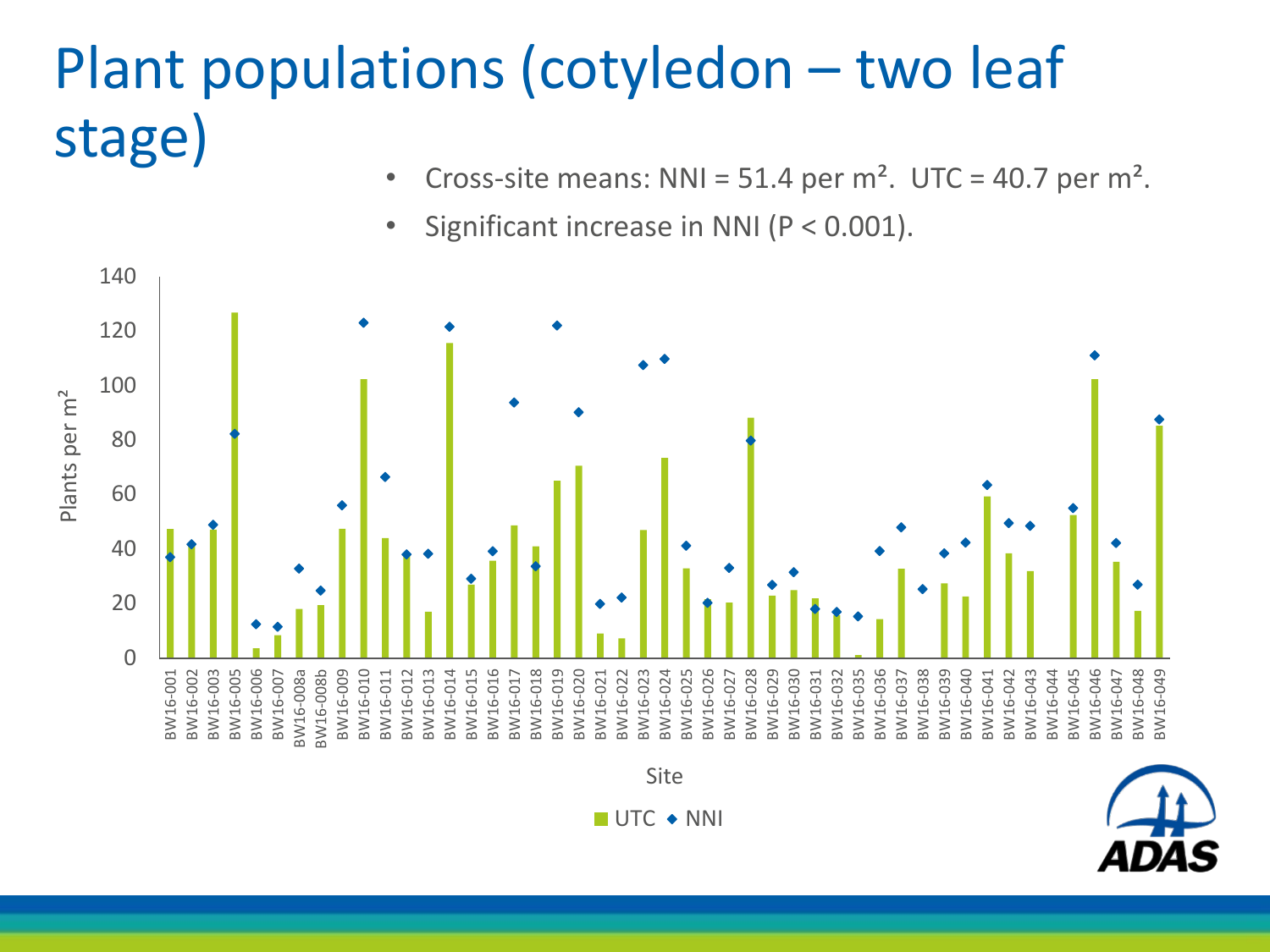# Plant populations (cotyledon – two leaf stage)

- Cross-site means: NNI =  $51.4$  per m<sup>2</sup>. UTC =  $40.7$  per m<sup>2</sup>.
- Significant increase in NNI (P < 0.001).

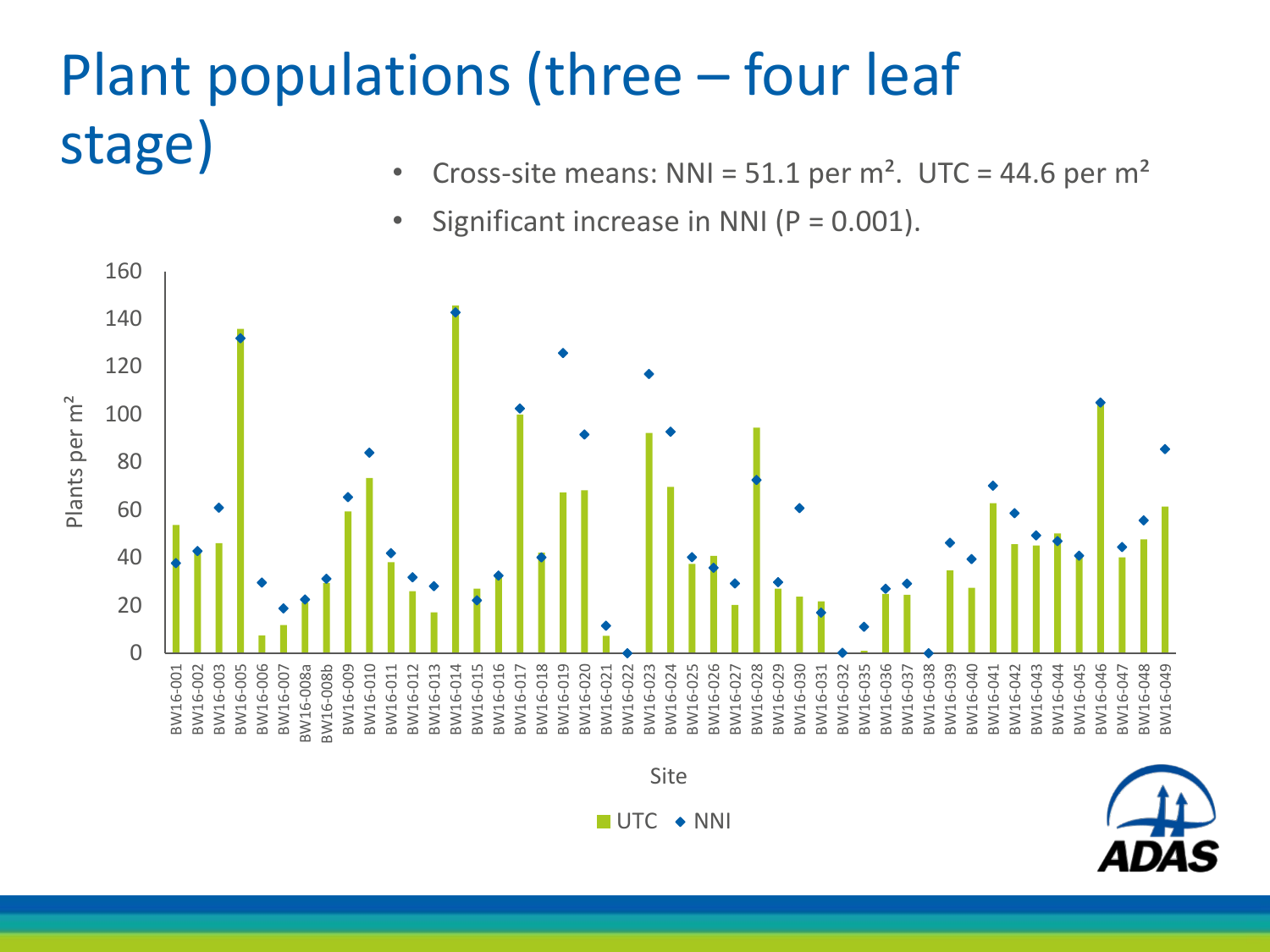## Plant populations (three – four leaf stage)

- Cross-site means: NNI =  $51.1$  per m<sup>2</sup>. UTC = 44.6 per m<sup>2</sup>
- Significant increase in NNI  $(P = 0.001)$ .

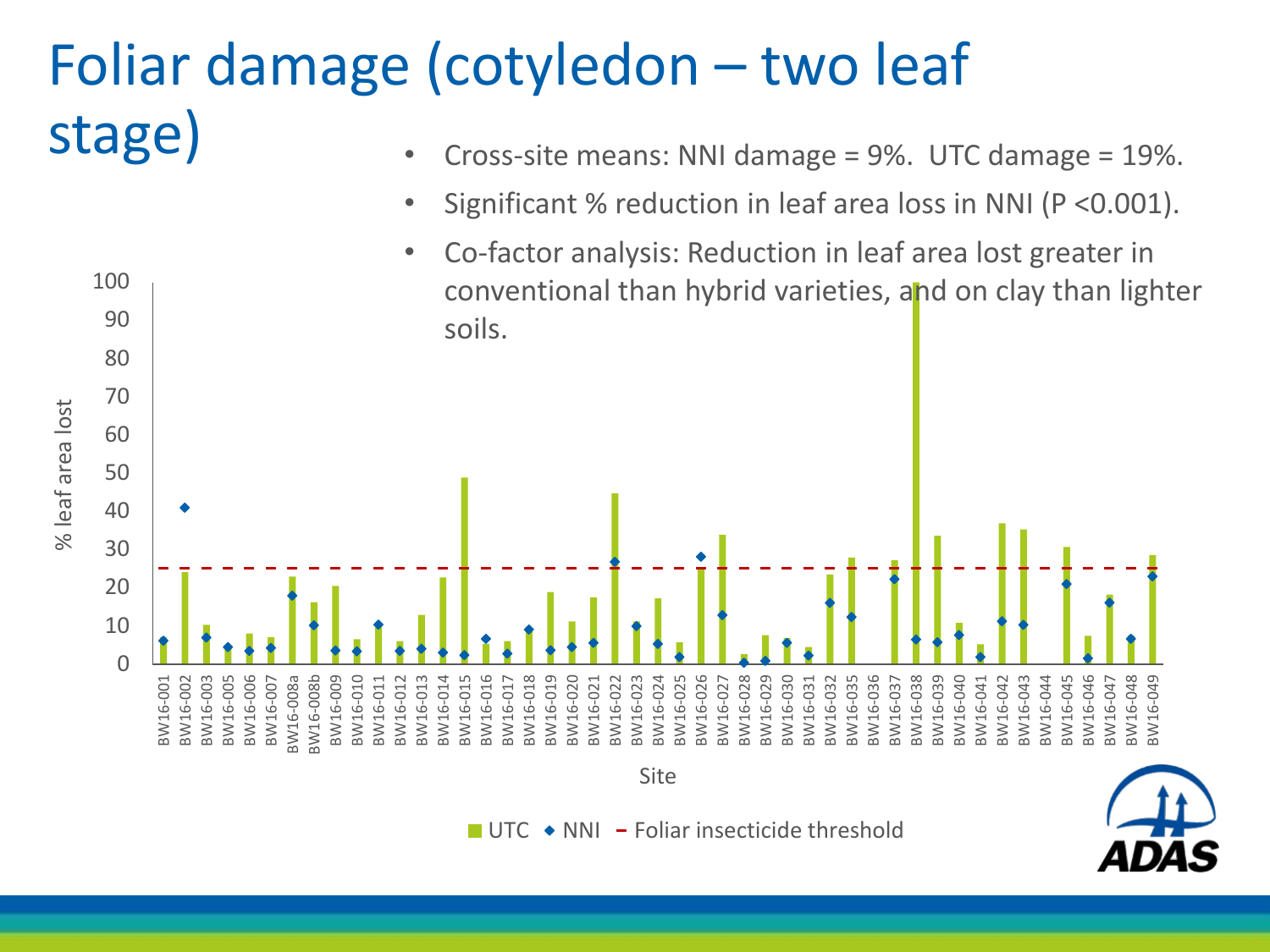#### Foliar damage (cotyledon – two leaf stage) • Cross-site means: NNI damage = 9%. UTC damage = 19%.

80

90

100

- Significant % reduction in leaf area loss in NNI (P <0.001).
- Co-factor analysis: Reduction in leaf area lost greater in conventional than hybrid varieties, and on clay than lighter soils.



 $\blacksquare$  UTC  $\blacktriangleright$  NNI  $\blacktriangleright$  Foliar insecticide threshold

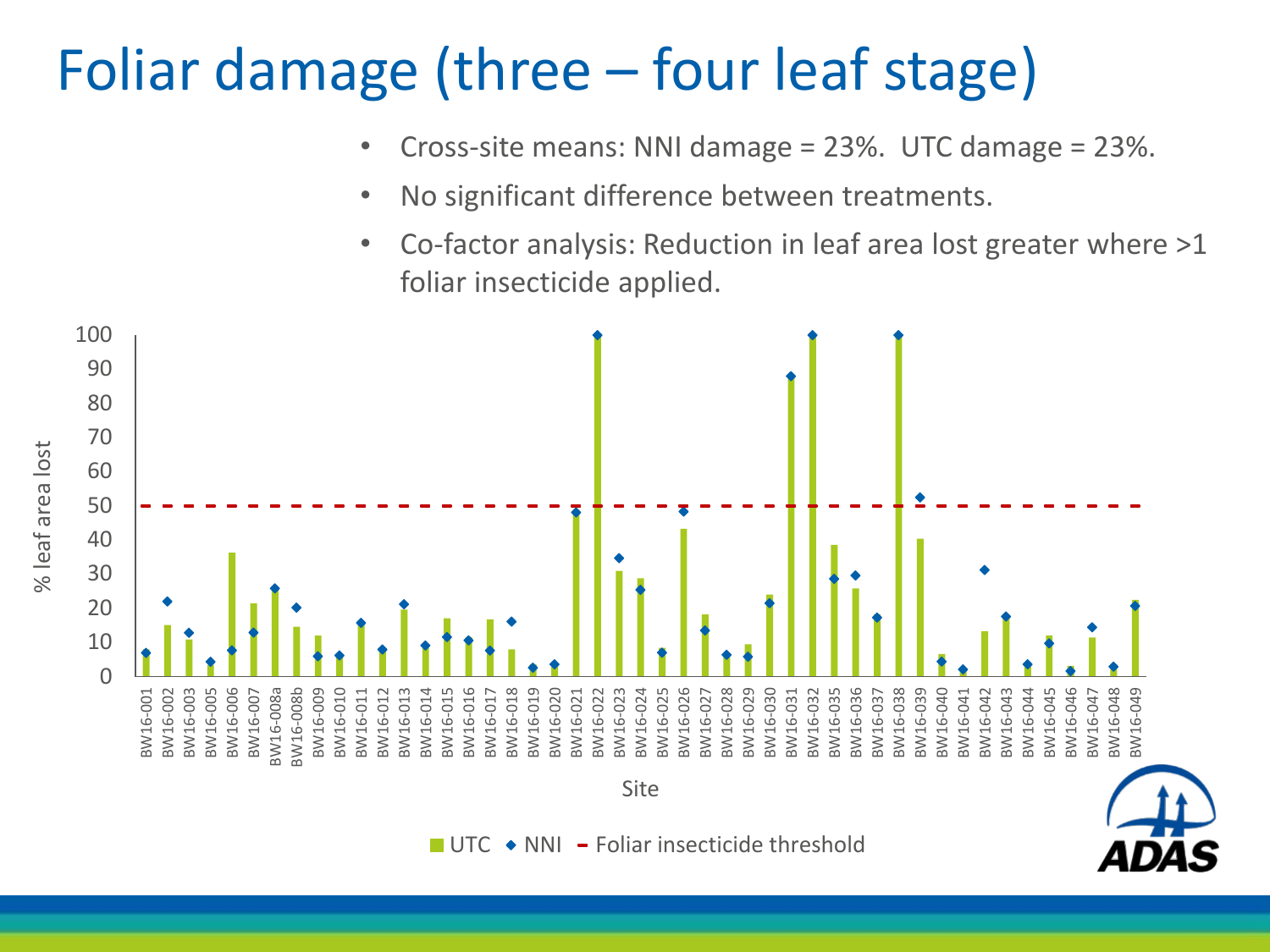### Foliar damage (three – four leaf stage)

% leaf area lost

% leaf area lost

 $\Omega$ 10 20 30 40 50 60 70 80 90 100 BW16-001 BW16-002 BW16-003 BW16-005 BW16-006 BW16-007 BW16-008a BW16-008b BW16-009 BW16-010 BW16-011 BW16-012 BW16-013 BW16-014 BW16-015 BW16-016 BW16-017 BW16-018 BW16-019 BW16-020 BW16-021 BW16-022 BW16-023 BW16-024 BW16-025 BW16-026 BW16-027 BW16-028 BW16-029 BW16-030 BW16-031 BW16-032 BW16-035 BW16-036 BW16-037 BW16-038 BW16-039 BW16-040 BW16-041 BW16-042 BW16-043 BW16-044 BW16-045 BW16-046 BW16-047 BW16-048 BW16-049 Site • Cross-site means: NNI damage = 23%. UTC damage = 23%. • No significant difference between treatments. • Co-factor analysis: Reduction in leaf area lost greater where >1 foliar insecticide applied.

 $\blacksquare$  UTC  $\blacklozenge$  NNI  $\blacktriangleright$  Foliar insecticide threshold

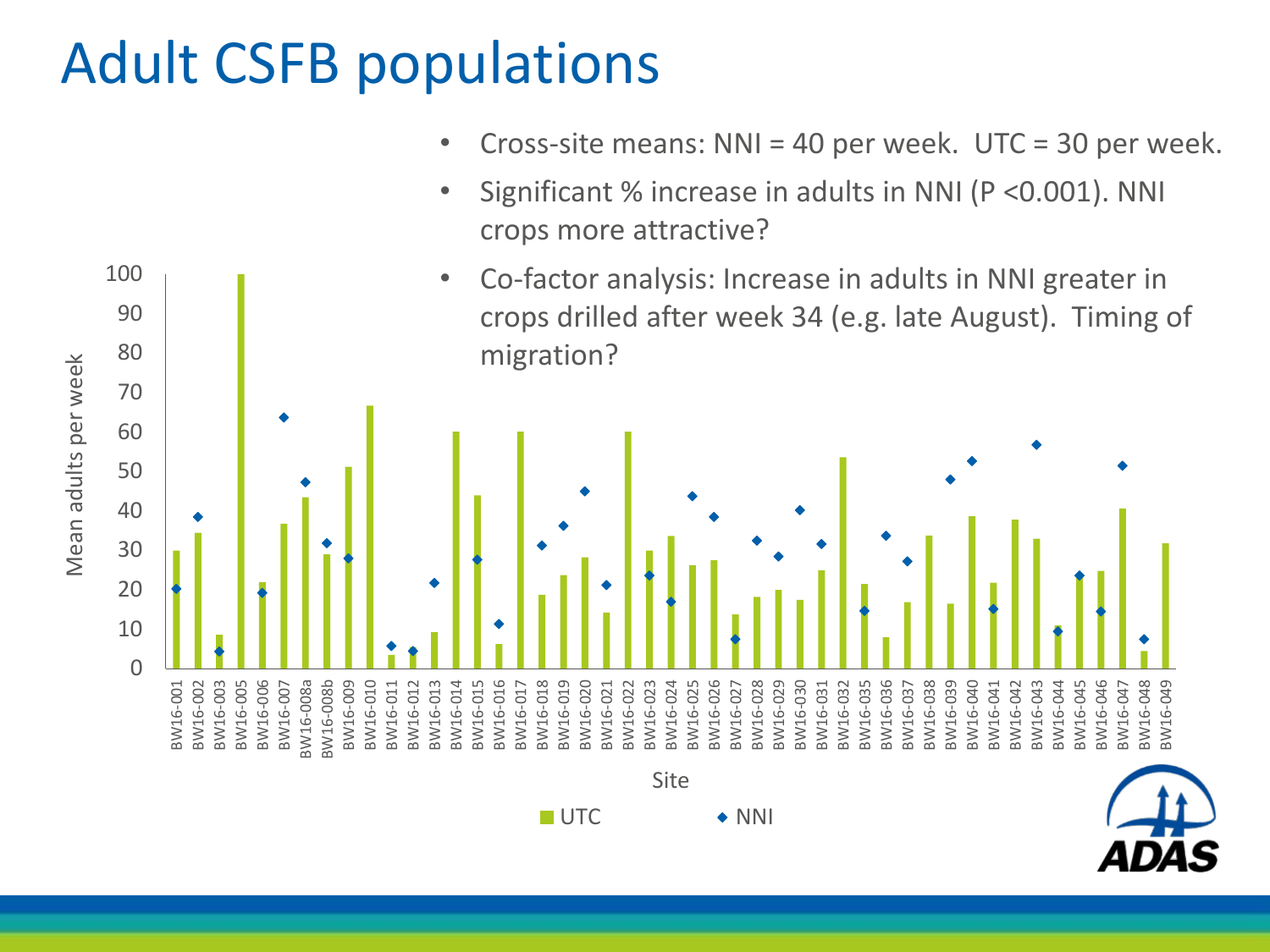### Adult CSFB populations

80

90

100



- Significant % increase in adults in NNI (P <0.001). NNI crops more attractive? attractive?
- Co-factor analysis: Increase in adults in NNI greater in crops drilled after week 34 (e.g. late August). Timing of migration?

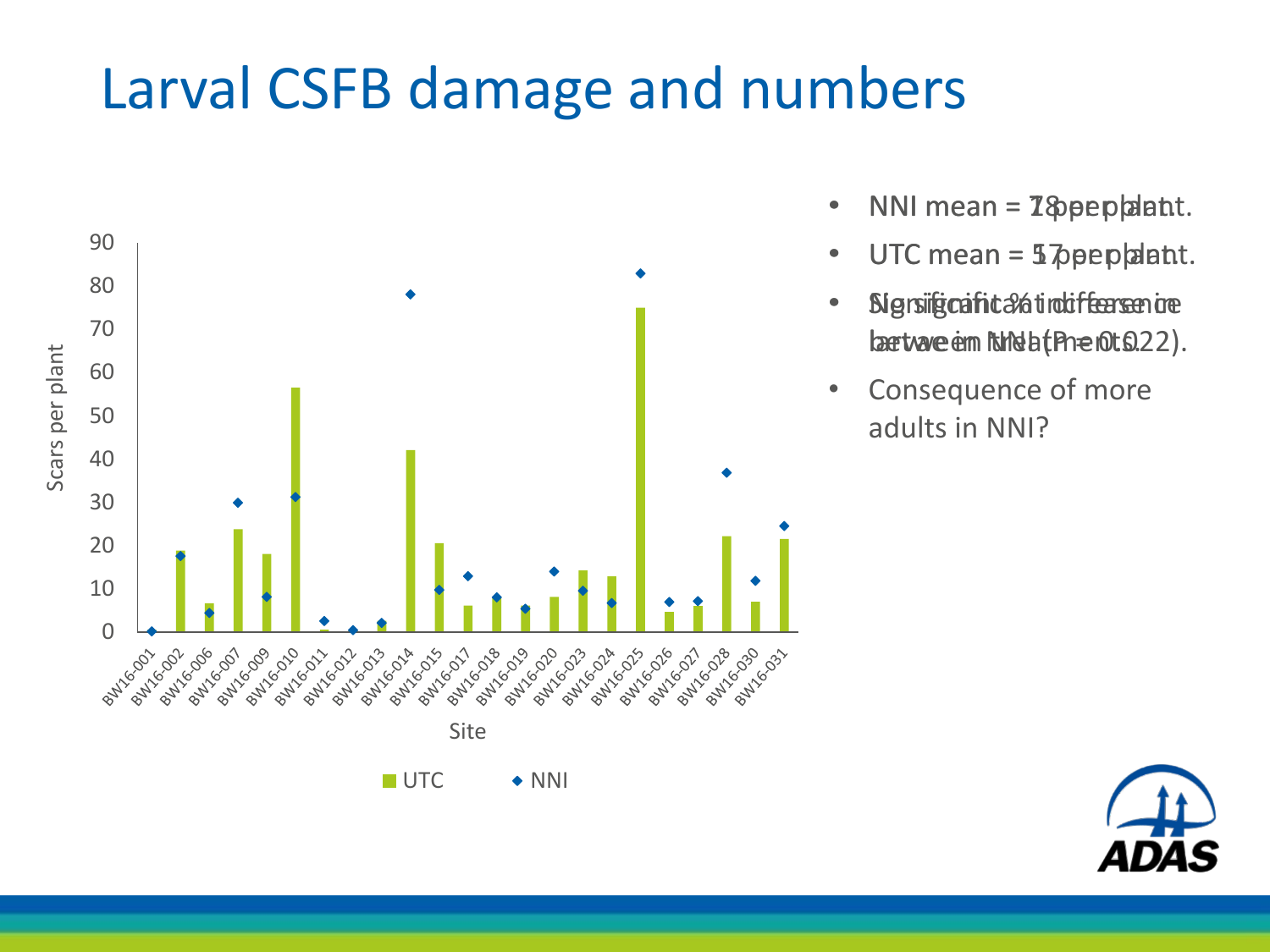### Larval CSFB damage and numbers



- $\bullet$  NNI mean =  $\mathbb{Z}$  & pep and the  $\bullet$ .
- UTC mean = 5 ppep ant.
- Signsificant it and indiffer senione lærtvave enn ithela (Phenots.22).
- Consequence of more adults in NNI?

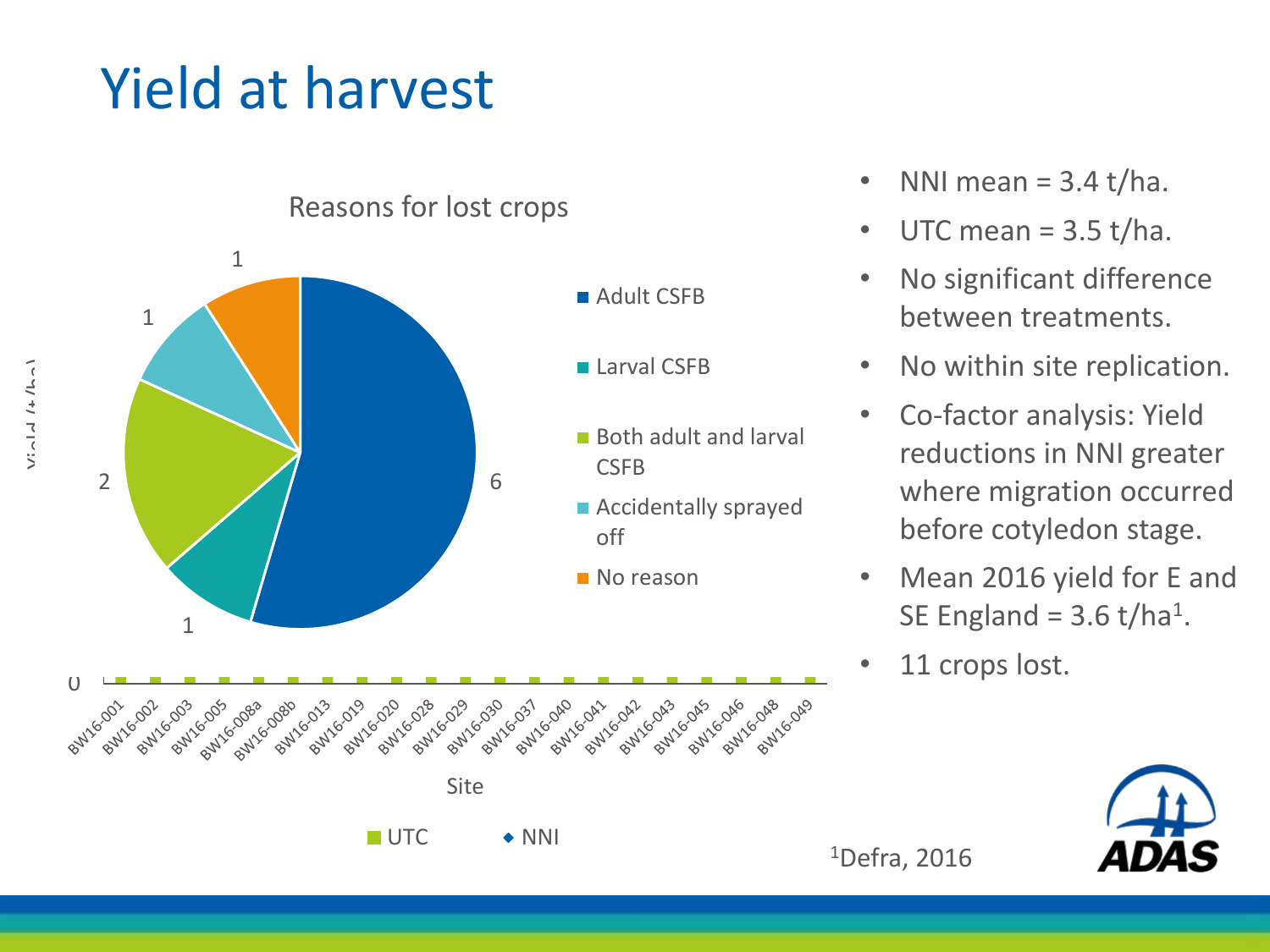### Yield at harvest



Reasons for lost crops

- NNI mean =  $3.4$  t/ha.
- UTC mean  $=$  3.5 t/ha.
- No significant difference between treatments.
- No within site replication.
- Co-factor analysis: Yield reductions in NNI greater where migration occurred before cotyledon stage.
- Mean 2016 yield for E and SE England =  $3.6$  t/ha<sup>1</sup>.
- 11 crops lost.



<sup>1</sup>Defra, 2016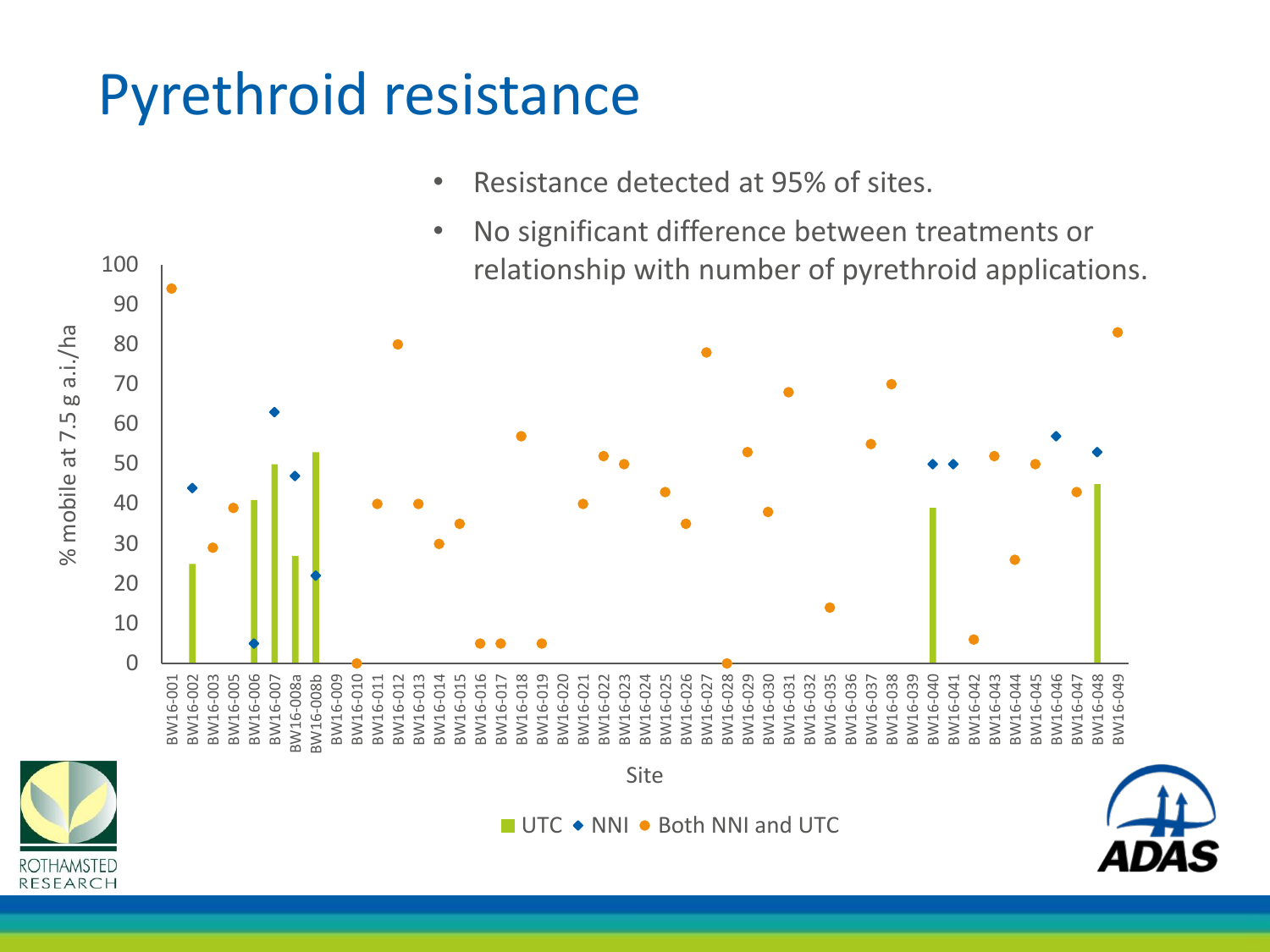## Pyrethroid resistance

100

- Resistance detected at 95% of sites.
- No significant difference between treatments or relationship with number of pyrethroid applications.

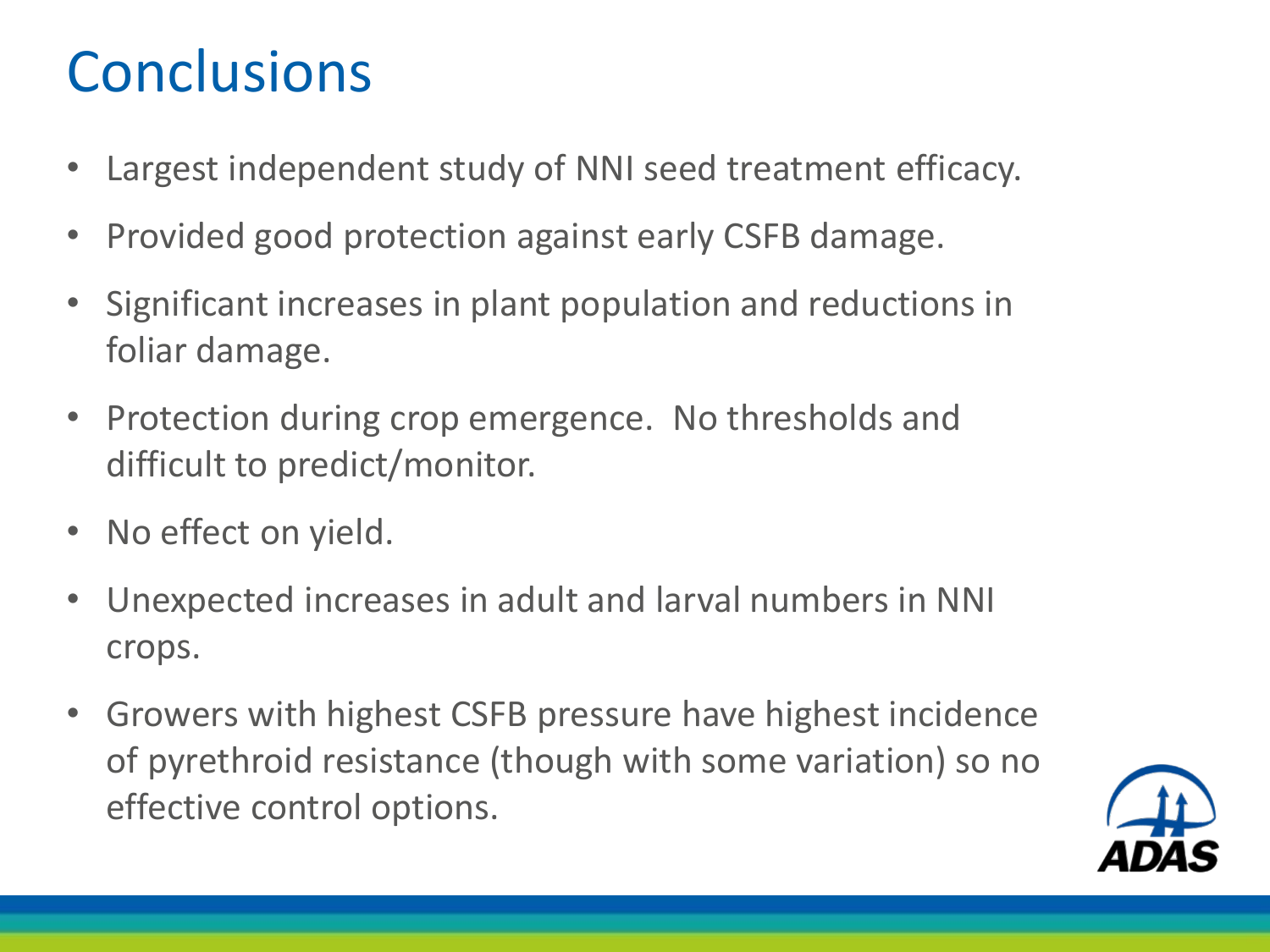## **Conclusions**

- Largest independent study of NNI seed treatment efficacy.
- Provided good protection against early CSFB damage.
- Significant increases in plant population and reductions in foliar damage.
- Protection during crop emergence. No thresholds and difficult to predict/monitor.
- No effect on yield.
- Unexpected increases in adult and larval numbers in NNI crops.
- Growers with highest CSFB pressure have highest incidence of pyrethroid resistance (though with some variation) so no effective control options.